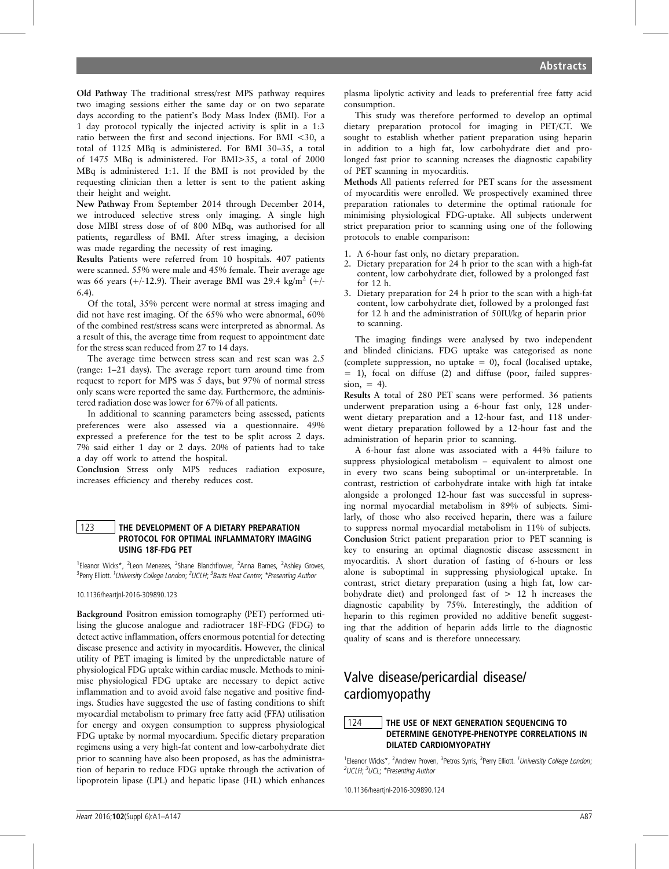Old Pathway The traditional stress/rest MPS pathway requires two imaging sessions either the same day or on two separate days according to the patient's Body Mass Index (BMI). For a 1 day protocol typically the injected activity is split in a 1:3 ratio between the first and second injections. For BMI <30, a total of 1125 MBq is administered. For BMI 30–35, a total of 1475 MBq is administered. For BMI>35, a total of 2000 MBq is administered 1:1. If the BMI is not provided by the requesting clinician then a letter is sent to the patient asking their height and weight.

New Pathway From September 2014 through December 2014, we introduced selective stress only imaging. A single high dose MIBI stress dose of of 800 MBq, was authorised for all patients, regardless of BMI. After stress imaging, a decision was made regarding the necessity of rest imaging.

Results Patients were referred from 10 hospitals. 407 patients were scanned. 55% were male and 45% female. Their average age was 66 years (+/-12.9). Their average BMI was 29.4 kg/m<sup>2</sup> (+/-6.4).

Of the total, 35% percent were normal at stress imaging and did not have rest imaging. Of the 65% who were abnormal, 60% of the combined rest/stress scans were interpreted as abnormal. As a result of this, the average time from request to appointment date for the stress scan reduced from 27 to 14 days.

The average time between stress scan and rest scan was 2.5 (range: 1–21 days). The average report turn around time from request to report for MPS was 5 days, but 97% of normal stress only scans were reported the same day. Furthermore, the administered radiation dose was lower for 67% of all patients.

In additional to scanning parameters being assessed, patients preferences were also assessed via a questionnaire. 49% expressed a preference for the test to be split across 2 days. 7% said either 1 day or 2 days. 20% of patients had to take a day off work to attend the hospital.

Conclusion Stress only MPS reduces radiation exposure, increases efficiency and thereby reduces cost.

#### 123 | THE DEVELOPMENT OF A DIETARY PREPARATION PROTOCOL FOR OPTIMAL INFLAMMATORY IMAGING USING 18F-FDG PET

<sup>1</sup>Eleanor Wicks\*, <sup>2</sup>Leon Menezes, <sup>2</sup>Shane Blanchflower, <sup>2</sup>Anna Barnes, <sup>2</sup>Ashley Groves, <sup>3</sup>Perry Elliott. <sup>1</sup>University College London; <sup>2</sup>UCLH; <sup>3</sup>Barts Heat Centre; \*Presenting Author

10.1136/heartjnl-2016-309890.123

Background Positron emission tomography (PET) performed utilising the glucose analogue and radiotracer 18F-FDG (FDG) to detect active inflammation, offers enormous potential for detecting disease presence and activity in myocarditis. However, the clinical utility of PET imaging is limited by the unpredictable nature of physiological FDG uptake within cardiac muscle. Methods to minimise physiological FDG uptake are necessary to depict active inflammation and to avoid avoid false negative and positive findings. Studies have suggested the use of fasting conditions to shift myocardial metabolism to primary free fatty acid (FFA) utilisation for energy and oxygen consumption to suppress physiological FDG uptake by normal myocardium. Specific dietary preparation regimens using a very high-fat content and low-carbohydrate diet prior to scanning have also been proposed, as has the administration of heparin to reduce FDG uptake through the activation of lipoprotein lipase (LPL) and hepatic lipase (HL) which enhances

plasma lipolytic activity and leads to preferential free fatty acid consumption.

This study was therefore performed to develop an optimal dietary preparation protocol for imaging in PET/CT. We sought to establish whether patient preparation using heparin in addition to a high fat, low carbohydrate diet and prolonged fast prior to scanning ncreases the diagnostic capability of PET scanning in myocarditis.

Methods All patients referred for PET scans for the assessment of myocarditis were enrolled. We prospectively examined three preparation rationales to determine the optimal rationale for minimising physiological FDG-uptake. All subjects underwent strict preparation prior to scanning using one of the following protocols to enable comparison:

- 1. A 6-hour fast only, no dietary preparation.
- 2. Dietary preparation for 24 h prior to the scan with a high-fat content, low carbohydrate diet, followed by a prolonged fast for 12 h.
- 3. Dietary preparation for 24 h prior to the scan with a high-fat content, low carbohydrate diet, followed by a prolonged fast for 12 h and the administration of 50IU/kg of heparin prior to scanning.

The imaging findings were analysed by two independent and blinded clinicians. FDG uptake was categorised as none (complete suppression, no uptake  $= 0$ ), focal (localised uptake,  $= 1$ ), focal on diffuse (2) and diffuse (poor, failed suppres $sion. = 4$ ).

Results A total of 280 PET scans were performed. 36 patients underwent preparation using a 6-hour fast only, 128 underwent dietary preparation and a 12-hour fast, and 118 underwent dietary preparation followed by a 12-hour fast and the administration of heparin prior to scanning.

A 6-hour fast alone was associated with a 44% failure to suppress physiological metabolism – equivalent to almost one in every two scans being suboptimal or un-interpretable. In contrast, restriction of carbohydrate intake with high fat intake alongside a prolonged 12-hour fast was successful in supressing normal myocardial metabolism in 89% of subjects. Similarly, of those who also received heparin, there was a failure to suppress normal myocardial metabolism in 11% of subjects. Conclusion Strict patient preparation prior to PET scanning is key to ensuring an optimal diagnostic disease assessment in myocarditis. A short duration of fasting of 6-hours or less alone is suboptimal in suppressing physiological uptake. In contrast, strict dietary preparation (using a high fat, low carbohydrate diet) and prolonged fast of  $> 12$  h increases the diagnostic capability by 75%. Interestingly, the addition of heparin to this regimen provided no additive benefit suggesting that the addition of heparin adds little to the diagnostic quality of scans and is therefore unnecessary.

# Valve disease/pericardial disease/ cardiomyopathy

### 124 **THE USE OF NEXT GENERATION SEQUENCING TO** DETERMINE GENOTYPE-PHENOTYPE CORRELATIONS IN DILATED CARDIOMYOPATHY

<sup>1</sup>Eleanor Wicks\*, <sup>2</sup>Andrew Proven, <sup>3</sup>Petros Syrris, <sup>3</sup>Perry Elliott. <sup>1</sup>University College London; <sup>2</sup>UCLH; <sup>3</sup>UCL; \*Presenting Author

10.1136/heartjnl-2016-309890.124